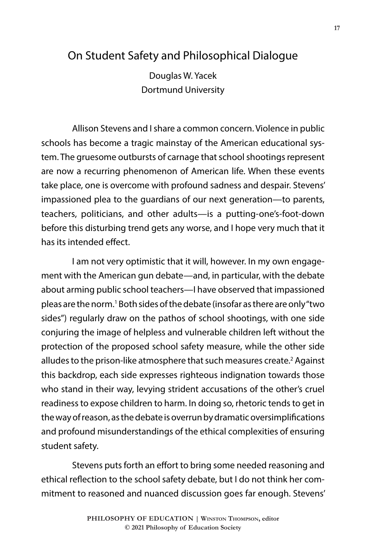## On Student Safety and Philosophical Dialogue

Douglas W. Yacek Dortmund University

Allison Stevens and I share a common concern. Violence in public schools has become a tragic mainstay of the American educational system. The gruesome outbursts of carnage that school shootings represent are now a recurring phenomenon of American life. When these events take place, one is overcome with profound sadness and despair. Stevens' impassioned plea to the guardians of our next generation—to parents, teachers, politicians, and other adults—is a putting-one's-foot-down before this disturbing trend gets any worse, and I hope very much that it has its intended effect.

I am not very optimistic that it will, however. In my own engagement with the American gun debate—and, in particular, with the debate about arming public school teachers—I have observed that impassioned pleas are the norm.<sup>1</sup> Both sides of the debate (insofar as there are only "two sides") regularly draw on the pathos of school shootings, with one side conjuring the image of helpless and vulnerable children left without the protection of the proposed school safety measure, while the other side alludes to the prison-like atmosphere that such measures create.<sup>2</sup> Against this backdrop, each side expresses righteous indignation towards those who stand in their way, levying strident accusations of the other's cruel readiness to expose children to harm. In doing so, rhetoric tends to get in the way of reason, as the debate is overrun by dramatic oversimplifications and profound misunderstandings of the ethical complexities of ensuring student safety.

Stevens puts forth an effort to bring some needed reasoning and ethical reflection to the school safety debate, but I do not think her commitment to reasoned and nuanced discussion goes far enough. Stevens'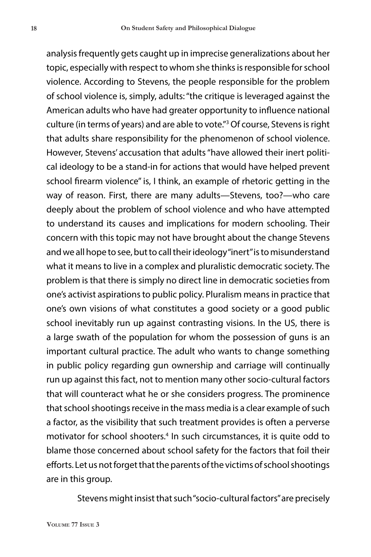analysis frequently gets caught up in imprecise generalizations about her topic, especially with respect to whom she thinks is responsible for school violence. According to Stevens, the people responsible for the problem of school violence is, simply, adults: "the critique is leveraged against the American adults who have had greater opportunity to influence national culture (in terms of years) and are able to vote."3 Of course, Stevens is right that adults share responsibility for the phenomenon of school violence. However, Stevens' accusation that adults "have allowed their inert political ideology to be a stand-in for actions that would have helped prevent school firearm violence" is, I think, an example of rhetoric getting in the way of reason. First, there are many adults—Stevens, too?—who care deeply about the problem of school violence and who have attempted to understand its causes and implications for modern schooling. Their concern with this topic may not have brought about the change Stevens and we all hope to see, but to call their ideology "inert" is to misunderstand what it means to live in a complex and pluralistic democratic society. The problem is that there is simply no direct line in democratic societies from one's activist aspirations to public policy. Pluralism means in practice that one's own visions of what constitutes a good society or a good public school inevitably run up against contrasting visions. In the US, there is a large swath of the population for whom the possession of guns is an important cultural practice. The adult who wants to change something in public policy regarding gun ownership and carriage will continually run up against this fact, not to mention many other socio-cultural factors that will counteract what he or she considers progress. The prominence that school shootings receive in the mass media is a clear example of such a factor, as the visibility that such treatment provides is often a perverse motivator for school shooters.4 In such circumstances, it is quite odd to blame those concerned about school safety for the factors that foil their efforts. Let us not forget that the parents of the victims of school shootings are in this group.

Stevens might insist that such "socio-cultural factors" are precisely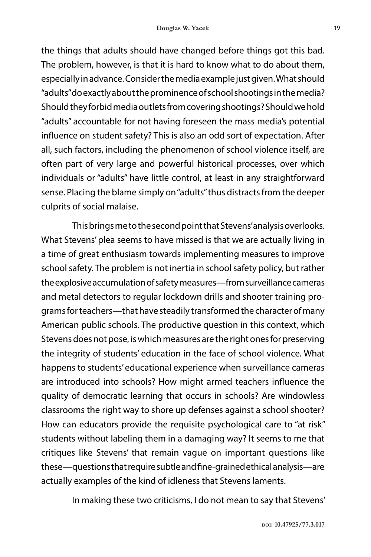the things that adults should have changed before things got this bad. The problem, however, is that it is hard to know what to do about them, especially in advance. Consider the media example just given. What should "adults" do exactly about the prominence of school shootings in the media? Should they forbid media outlets from covering shootings? Should we hold "adults" accountable for not having foreseen the mass media's potential influence on student safety? This is also an odd sort of expectation. After all, such factors, including the phenomenon of school violence itself, are often part of very large and powerful historical processes, over which individuals or "adults" have little control, at least in any straightforward sense. Placing the blame simply on "adults" thus distracts from the deeper culprits of social malaise.

This brings me to the second point that Stevens' analysis overlooks. What Stevens' plea seems to have missed is that we are actually living in a time of great enthusiasm towards implementing measures to improve school safety. The problem is not inertia in school safety policy, but rather the explosive accumulation of safety measures—from surveillance cameras and metal detectors to regular lockdown drills and shooter training programs for teachers—that have steadily transformed the character of many American public schools. The productive question in this context, which Stevens does not pose, is which measures are the right ones for preserving the integrity of students' education in the face of school violence. What happens to students' educational experience when surveillance cameras are introduced into schools? How might armed teachers influence the quality of democratic learning that occurs in schools? Are windowless classrooms the right way to shore up defenses against a school shooter? How can educators provide the requisite psychological care to "at risk" students without labeling them in a damaging way? It seems to me that critiques like Stevens' that remain vague on important questions like these—questions that require subtle and fine-grained ethical analysis—are actually examples of the kind of idleness that Stevens laments.

In making these two criticisms, I do not mean to say that Stevens'